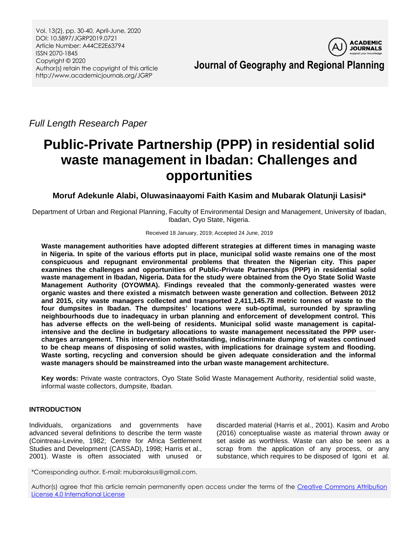Vol. 13(2), pp. 30-40, April-June, 2020 DOI: 10.5897/JGRP2019.0721 Article Number: A44CE2E63794 ISSN 2070-1845 Copyright © 2020 Author(s) retain the copyright of this article http://www.academicjournals.org/JGRP



**Journal of Geography and Regional Planning**

*Full Length Research Paper*

# **Public-Private Partnership (PPP) in residential solid waste management in Ibadan: Challenges and opportunities**

**Moruf Adekunle Alabi, Oluwasinaayomi Faith Kasim and Mubarak Olatunji Lasisi\***

Department of Urban and Regional Planning, Faculty of Environmental Design and Management, University of Ibadan, Ibadan, Oyo State, Nigeria.

#### Received 18 January, 2019; Accepted 24 June, 2019

**Waste management authorities have adopted different strategies at different times in managing waste in Nigeria. In spite of the various efforts put in place, municipal solid waste remains one of the most conspicuous and repugnant environmental problems that threaten the Nigerian city. This paper examines the challenges and opportunities of Public-Private Partnerships (PPP) in residential solid waste management in Ibadan, Nigeria. Data for the study were obtained from the Oyo State Solid Waste Management Authority (OYOWMA). Findings revealed that the commonly-generated wastes were organic wastes and there existed a mismatch between waste generation and collection. Between 2012 and 2015, city waste managers collected and transported 2,411,145.78 metric tonnes of waste to the four dumpsites in Ibadan. The dumpsites' locations were sub-optimal, surrounded by sprawling neighbourhoods due to inadequacy in urban planning and enforcement of development control. This has adverse effects on the well-being of residents. Municipal solid waste management is capitalintensive and the decline in budgetary allocations to waste management necessitated the PPP usercharges arrangement. This intervention notwithstanding, indiscriminate dumping of wastes continued to be cheap means of disposing of solid wastes, with implications for drainage system and flooding. Waste sorting, recycling and conversion should be given adequate consideration and the informal waste managers should be mainstreamed into the urban waste management architecture.** 

**Key words:** Private waste contractors, Oyo State Solid Waste Management Authority, residential solid waste, informal waste collectors, dumpsite, Ibadan.

# **INTRODUCTION**

Individuals, organizations and governments have advanced several definitions to describe the term waste (Cointreau-Levine, 1982; Centre for Africa Settlement Studies and Development (CASSAD), 1998; Harris et al., 2001). Waste is often associated with unused or

discarded material (Harris et al., 2001). Kasim and Arobo (2016) conceptualise waste as material thrown away or set aside as worthless. Waste can also be seen as a scrap from the application of any process, or any substance, which requires to be disposed of Igoni et al.

\*Corresponding author. E-mail: mubaraksus@gmail.com.

Author(s) agree that this article remain permanently open access under the terms of the Creative Commons Attribution [License 4.0 International License](http://creativecommons.org/licenses/by/4.0/deed.en_US)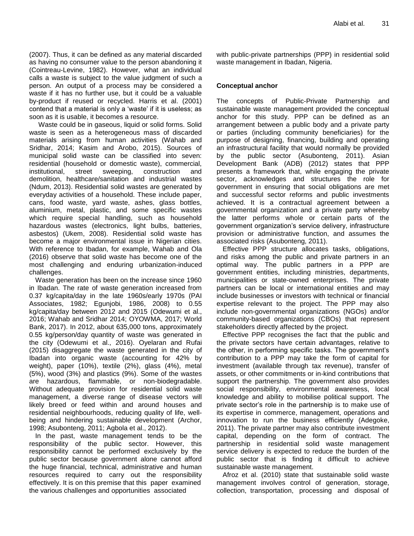(2007). Thus, it can be defined as any material discarded as having no consumer value to the person abandoning it (Cointreau-Levine, 1982). However, what an individual calls a waste is subject to the value judgment of such a person. An output of a process may be considered a waste if it has no further use, but it could be a valuable by-product if reused or recycled. Harris et al. (2001) contend that a material is only a "waste" if it is useless; as soon as it is usable, it becomes a resource.

Waste could be in gaseous, liquid or solid forms. Solid waste is seen as a heterogeneous mass of discarded materials arising from human activities (Wahab and Sridhar, 2014; Kasim and Arobo, 2015). Sources of municipal solid waste can be classified into seven: residential (household or domestic waste), commercial, institutional, street sweeping, construction and demolition, healthcare/sanitation and industrial wastes (Ndum, 2013). Residential solid wastes are generated by everyday activities of a household. These include paper, cans, food waste, yard waste, ashes, glass bottles, aluminium, metal, plastic, and some specific wastes which require special handling, such as household hazardous wastes (electronics, light bulbs, batteries, asbestos) (Ukem, 2008). Residential solid waste has become a major environmental issue in Nigerian cities. With reference to Ibadan, for example, Wahab and Ola (2016) observe that solid waste has become one of the most challenging and enduring urbanization-induced challenges.

Waste generation has been on the increase since 1960 in Ibadan. The rate of waste generation increased from 0.37 kg/capita/day in the late 1960s/early 1970s (PAI Associates, 1982; Egunjobi, 1986, 2008) to 0.55 kg/capita/day between 2012 and 2015 (Odewumi et al., 2016; Wahab and Sridhar 2014; OYOWMA, 2017; World Bank, 2017). In 2012, about 635,000 tons, approximately 0.55 kg/person/day quantity of waste was generated in the city (Odewumi et al., 2016). Oyelaran and Rufai (2015) disaggregate the waste generated in the city of Ibadan into organic waste (accounting for 42% by weight), paper (10%), textile (2%), glass (4%), metal (5%), wood (3%) and plastics (9%). Some of the wastes are hazardous, flammable, or non-biodegradable. Without adequate provision for residential solid waste management, a diverse range of disease vectors will likely breed or feed within and around houses and residential neighbourhoods, reducing quality of life, wellbeing and hindering sustainable development (Archor, 1998; Asubonteng, 2011; Agbola et al., 2012).

In the past, waste management tends to be the responsibility of the public sector. However, this responsibility cannot be performed exclusively by the public sector because government alone cannot afford the huge financial, technical, administrative and human resources required to carry out the responsibility effectively. It is on this premise that this paper examined the various challenges and opportunities associated

with public-private partnerships (PPP) in residential solid waste management in Ibadan, Nigeria.

## **Conceptual anchor**

The concepts of Public-Private Partnership and sustainable waste management provided the conceptual anchor for this study. PPP can be defined as an arrangement between a public body and a private party or parties (including community beneficiaries) for the purpose of designing, financing, building and operating an infrastructural facility that would normally be provided by the public sector (Asubonteng, 2011). Asian Development Bank (ADB) (2012) states that PPP presents a framework that, while engaging the private sector, acknowledges and structures the role for government in ensuring that social obligations are met and successful sector reforms and public investments achieved. It is a contractual agreement between a governmental organization and a private party whereby the latter performs whole or certain parts of the government organization"s service delivery, infrastructure provision or administrative function, and assumes the associated risks (Asubonteng, 2011).

Effective PPP structure allocates tasks, obligations, and risks among the public and private partners in an optimal way. The public partners in a PPP are government entities, including ministries, departments, municipalities or state-owned enterprises. The private partners can be local or international entities and may include businesses or investors with technical or financial expertise relevant to the project. The PPP may also include non-governmental organizations (NGOs) and/or community-based organizations (CBOs) that represent stakeholders directly affected by the project.

Effective PPP recognises the fact that the public and the private sectors have certain advantages, relative to the other, in performing specific tasks. The government"s contribution to a PPP may take the form of capital for investment (available through tax revenue), transfer of assets, or other commitments or in-kind contributions that support the partnership. The government also provides social responsibility, environmental awareness, local knowledge and ability to mobilise political support. The private sector"s role in the partnership is to make use of its expertise in commerce, management, operations and innovation to run the business efficiently (Adegoke, 2011). The private partner may also contribute investment capital, depending on the form of contract. The partnership in residential solid waste management service delivery is expected to reduce the burden of the public sector that is finding it difficult to achieve sustainable waste management.

Afroz et al. (2010) state that sustainable solid waste management involves control of generation, storage, collection, transportation, processing and disposal of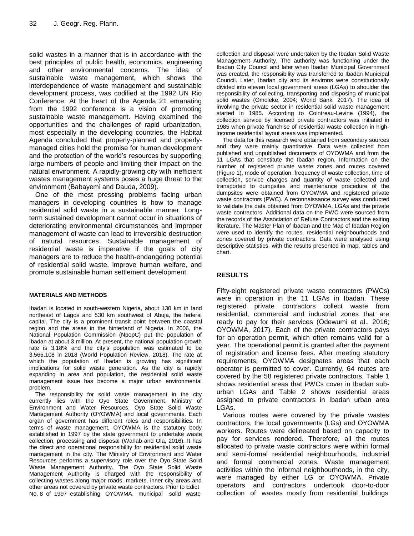solid wastes in a manner that is in accordance with the best principles of public health, economics, engineering and other environmental concerns. The idea of sustainable waste management, which shows the interdependence of waste management and sustainable development process, was codified at the 1992 UN Rio Conference. At the heart of the Agenda 21 emanating from the 1992 conference is a vision of promoting sustainable waste management. Having examined the opportunities and the challenges of rapid urbanization, most especially in the developing countries, the Habitat Agenda concluded that properly-planned and properlymanaged cities hold the promise for human development and the protection of the world"s resources by supporting large numbers of people and limiting their impact on the natural environment. A rapidly-growing city with inefficient wastes management systems poses a huge threat to the environment (Babayemi and Dauda, 2009).

One of the most pressing problems facing urban managers in developing countries is how to manage residential solid waste in a sustainable manner. Longterm sustained development cannot occur in situations of deteriorating environmental circumstances and improper management of waste can lead to irreversible destruction of natural resources. Sustainable management of residential waste is imperative if the goals of city managers are to reduce the health-endangering potential of residential solid waste, improve human welfare, and promote sustainable human settlement development.

#### **MATERIALS AND METHODS**

Ibadan is located in south-western Nigeria, about 130 km in land northeast of Lagos and 530 km southwest of Abuja, the federal capital. The city is a prominent transit point between the coastal region and the areas in the hinterland of Nigeria. In 2006, the National Population Commission (NpopC) put the population of Ibadan at about 3 million. At present, the national population growth rate is 3.18% and the city"s population was estimated to be 3,565,108 in 2018 (World Population Review, 2018). The rate at which the population of Ibadan is growing has significant implications for solid waste generation. As the city is rapidly expanding in area and population, the residential solid waste management issue has become a major urban environmental problem.

The responsibility for solid waste management in the city currently lies with the Oyo State Government, Ministry of Environment and Water Resources, Oyo State Solid Waste Management Authority (OYOWMA) and local governments. Each organ of government has different roles and responsibilities. In terms of waste management, OYOWMA is the statutory body established in 1997 by the state government to undertake waste collection, processing and disposal (Wahab and Ola, 2016). It has the direct and operational responsibility for residential solid waste management in the city. The Ministry of Environment and Water Resources performs a supervisory role over the Oyo State Solid Waste Management Authority. The Oyo State Solid Waste Management Authority is charged with the responsibility of collecting wastes along major roads, markets, inner city areas and other areas not covered by private waste contractors. Prior to Edict No. 8 of 1997 establishing OYOWMA, municipal solid waste

collection and disposal were undertaken by the Ibadan Solid Waste Management Authority. The authority was functioning under the Ibadan City Council and later when Ibadan Municipal Government was created, the responsibility was transferred to Ibadan Municipal Council. Later, Ibadan city and its environs were constitutionally divided into eleven local government areas (LGAs) to shoulder the responsibility of collecting, transporting and disposing of municipal solid wastes (Omoleke, 2004; World Bank, 2017). The idea of involving the private sector in residential solid waste management started in 1985. According to Cointreau-Levine (1994), the collection service by licensed private contractors was initiated in 1985 when private franchise of residential waste collection in highincome residential layout areas was implemented.

The data for this research were obtained from secondary sources and they were mainly quantitative. Data were collected from published and unpublished documents of OYOWMA and from the 11 LGAs that constitute the Ibadan region. Information on the number of registered private waste zones and routes covered (Figure 1), mode of operation, frequency of waste collection, time of collection, service charges and quantity of waste collected and transported to dumpsites and maintenance procedure of the dumpsites were obtained from OYOWMA and registered private waste contractors (PWC). A reconnaissance survey was conducted to validate the data obtained from OYOWMA, LGAs and the private waste contractors. Additional data on the PWC were sourced from the records of the Association of Refuse Contractors and the exiting literature. The Master Plan of Ibadan and the Map of Ibadan Region were used to identify the routes, residential neighbourhoods and zones covered by private contractors. Data were analysed using descriptive statistics, with the results presented in map, tables and chart.

# **RESULTS**

Fifty-eight registered private waste contractors (PWCs) were in operation in the 11 LGAs in Ibadan. These registered private contractors collect waste from residential, commercial and industrial zones that are ready to pay for their services (Odewumi et al., 2016; OYOWMA, 2017). Each of the private contractors pays for an operation permit, which often remains valid for a year. The operational permit is granted after the payment of registration and license fees. After meeting statutory requirements, OYOWMA designates areas that each operator is permitted to cover. Currently, 64 routes are covered by the 58 registered private contractors. Table 1 shows residential areas that PWCs cover in Ibadan suburban LGAs and Table 2 shows residential areas assigned to private contractors in Ibadan urban area LGAs.

Various routes were covered by the private wastes contractors, the local governments (LGs) and OYOWMA workers. Routes were delineated based on capacity to pay for services rendered. Therefore, all the routes allocated to private waste contractors were within formal and semi-formal residential neighbourhoods, industrial and formal commercial zones. Waste management activities within the informal neighbourhoods, in the city, were managed by either LG or OYOWMA. Private operators and contractors undertook door-to-door collection of wastes mostly from residential buildings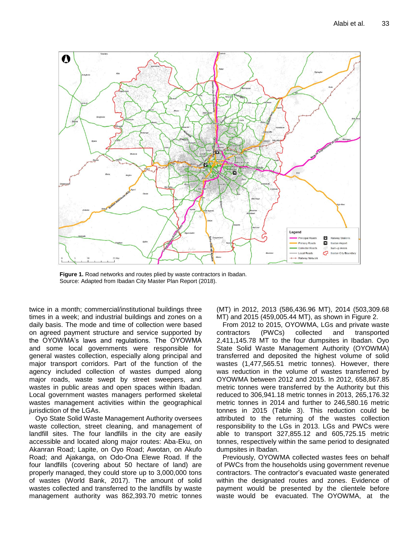

**Figure 1.** Road networks and routes plied by waste contractors in Ibadan. Source: Adapted from Ibadan City Master Plan Report (2018).

twice in a month; commercial/institutional buildings three times in a week; and industrial buildings and zones on a daily basis. The mode and time of collection were based on agreed payment structure and service supported by the OYOWMA"s laws and regulations. The OYOWMA and some local governments were responsible for general wastes collection, especially along principal and major transport corridors. Part of the function of the agency included collection of wastes dumped along major roads, waste swept by street sweepers, and wastes in public areas and open spaces within Ibadan. Local government wastes managers performed skeletal wastes management activities within the geographical jurisdiction of the LGAs.

Oyo State Solid Waste Management Authority oversees waste collection, street cleaning, and management of landfill sites. The four landfills in the city are easily accessible and located along major routes: Aba-Eku, on Akanran Road; Lapite, on Oyo Road; Awotan, on Akufo Road; and Ajakanga, on Odo-Ona Elewe Road. If the four landfills (covering about 50 hectare of land) are properly managed, they could store up to 3,000,000 tons of wastes (World Bank, 2017). The amount of solid wastes collected and transferred to the landfills by waste management authority was 862,393.70 metric tonnes (MT) in 2012, 2013 (586,436.96 MT), 2014 (503,309.68 MT) and 2015 (459,005.44 MT), as shown in Figure 2.

From 2012 to 2015, OYOWMA, LGs and private waste contractors (PWCs) collected and transported 2,411,145.78 MT to the four dumpsites in Ibadan. Oyo State Solid Waste Management Authority (OYOWMA) transferred and deposited the highest volume of solid wastes (1,477,565.51 metric tonnes). However, there was reduction in the volume of wastes transferred by OYOWMA between 2012 and 2015. In 2012, 658,867.85 metric tonnes were transferred by the Authority but this reduced to 306,941.18 metric tonnes in 2013, 265,176.32 metric tonnes in 2014 and further to 246,580.16 metric tonnes in 2015 (Table 3). This reduction could be attributed to the returning of the wastes collection responsibility to the LGs in 2013. LGs and PWCs were able to transport 327,855.12 and 605,725.15 metric tonnes, respectively within the same period to designated dumpsites in Ibadan.

Previously, OYOWMA collected wastes fees on behalf of PWCs from the households using government revenue contractors. The contractor"s evacuated waste generated within the designated routes and zones. Evidence of payment would be presented by the clientele before waste would be evacuated. The OYOWMA, at the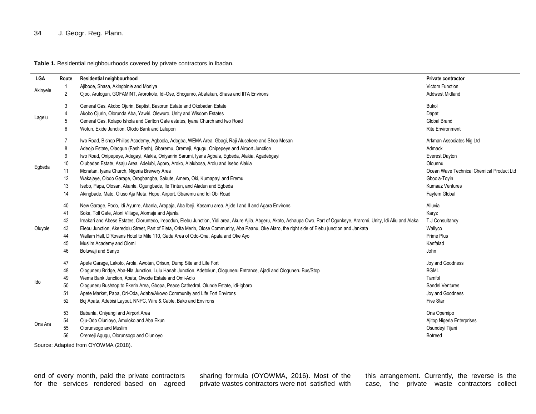# 34 J. Geogr. Reg. Plann.

**Table 1.** Residential neighbourhoods covered by private contractors in Ibadan.

| <b>LGA</b> | Route          | Residential neighbourhood                                                                                                                                                  | Private contractor                        |
|------------|----------------|----------------------------------------------------------------------------------------------------------------------------------------------------------------------------|-------------------------------------------|
|            | -1             | Ajibode, Shasa, Akingbinle and Moniya                                                                                                                                      | <b>Victom Function</b>                    |
| Akinyele   | $\overline{2}$ | Ojoo, Arulogun, GOFAMINT, Arorokole, Idi-Ose, Shogunro, Abatakan, Shasa and IITA Environs                                                                                  | <b>Addwest Midland</b>                    |
| Lagelu     | 3              | General Gas, Akobo Ojurin, Baptist, Basorun Estate and Okebadan Estate                                                                                                     | Bukol                                     |
|            |                | Akobo Ojurin, Olorunda Aba, Yawiri, Olewuro, Unity and Wisdom Estates                                                                                                      | Dapat                                     |
|            |                | General Gas, Kolapo Ishola and Carlton Gate estates, Iyana Church and Iwo Road                                                                                             | <b>Global Brand</b>                       |
|            | 6              | Wofun, Exide Junction, Olodo Bank and Lalupon                                                                                                                              | <b>Rite Environment</b>                   |
|            | 7              | Iwo Road, Bishop Philips Academy, Agboola, Adogba, WEMA Area, Gbagi, Raji Alusekere and Shop Mesan                                                                         | Arkman Associates Nig Ltd                 |
|            | 8              | Adeojo Estate, Olaogun (Fash Fash), Gbaremu, Oremeji, Agugu, Onipepeye and Airport Junction                                                                                | Admack                                    |
|            | 9              | Iwo Road, Onipepeye, Adegayi, Alakia, Oniyanrin Sarumi, Iyana Agbala, Egbeda, Alakia, Agadebgayi                                                                           | <b>Everest Dayton</b>                     |
| Egbeda     | 10             | Olubadan Estate, Asaju Area, Adelubi, Agoro, Aroko, Alalubosa, Arolu and Isebo Alakia                                                                                      | Olounnu                                   |
|            | 11             | Monatan, Iyana Church, Nigeria Brewery Area                                                                                                                                | Ocean Wave Technical Chemical Product Ltd |
|            | 12             | Wakajaye, Olodo Garage, Orogbangba, Sakute, Amero, Oki, Kumapayi and Eremu                                                                                                 | Gboola-Toyin                              |
|            | 13             | Isebo, Papa, Olosan, Akanle, Ogungbade, Ile Tintun, and Aladun and Egbeda                                                                                                  | <b>Kumaaz Ventures</b>                    |
|            | 14             | Akingbade, Mato, Oluso Aja Meta, Hope, Airport, Gbaremu and Idi Obi Road                                                                                                   | Faytem Global                             |
|            | 40             | New Garage, Podo, Idi Ayunre, Abanla, Arapaja, Aba Ibeji, Kasamu area. Ajide I and II and Agara Environs                                                                   | Alluvia                                   |
|            | 41             | Soka, Toll Gate, Atoni Village, Alomaja and Ajanla                                                                                                                         | Karyz                                     |
|            | 42             | Ireakari and Abese Estates, Oloruntedo, Irepodun, Elebu Junction, Yidi area, Akure Ajila, Abgeru, Akoto, Ashaupa Owo, Part of Ogunkeye, Araromi, Unity, Idi Aliu and Alaka | T.J Consultancy                           |
| Oluyole    | 43             | Elebu Junction, Akeredolu Street, Part of Eleta, Orita Merin, Olose Community, Aba Paanu, Oke Alaro, the right side of Elebu junction and Jankata                          | Wallyco                                   |
|            | 44             | Wallam Hall, D'Rovans Hotel to Mile 110, Gada Area of Odo-Ona, Apata and Oke Ayo                                                                                           | Prime Plus                                |
|            | 45             | Muslim Academy and Olomi                                                                                                                                                   | Kanfalad                                  |
|            | 46             | Boluwaji and Sanyo                                                                                                                                                         | John                                      |
|            | 47             | Apete Garage, Lakoto, Arola, Awotan, Orisun, Dump Site and Life Fort                                                                                                       | Joy and Goodness                          |
|            | 48             | Ologuneru Bridge, Aba-Nla Junction, Lulu Hanah Junction, Adetokun, Ologuneru Entrance, Ajadi and Ologuneru Bus/Stop                                                        | <b>BGML</b>                               |
| ldo        | 49             | Wema Bank Junction, Apata, Owode Estate and Omi-Adio                                                                                                                       | Tamfol                                    |
|            | 50             | Ologuneru Bus/stop to Ekerin Area, Gbopa, Peace Cathedral, Olunde Estate, Idi-Igbaro                                                                                       | Sandel Ventures                           |
|            | 51             | Apete Market, Papa, Ori-Oda, Adaba/Akowo Community and Life Fort Environs                                                                                                  | Joy and Goodness                          |
|            | 52             | Bcj Apata, Adebisi Layout, NNPC, Wire & Cable, Bako and Environs                                                                                                           | Five Star                                 |
|            | 53             | Babanla, Oniyangi and Airport Area                                                                                                                                         | Ona Opemipo                               |
| Ona Ara    | 54             | Oju-Odo Olunloyo, Amuloko and Aba Ekun                                                                                                                                     | Ajitop Nigeria Enterprises                |
|            | 55             | Olorunsogo and Muslim                                                                                                                                                      | Osundeyi Tijani                           |
|            | 56             | Oremeji Agugu, Olorunsogo and Olunloyo                                                                                                                                     | <b>Botreed</b>                            |

Source: Adapted from OYOWMA (2018).

end of every month, paid the private contractors for the services rendered based on agreed sharing formula (OYOWMA, 2016). Most of the private wastes contractors were not satisfied with this arrangement. Currently, the reverse is the case, the private waste contractors collect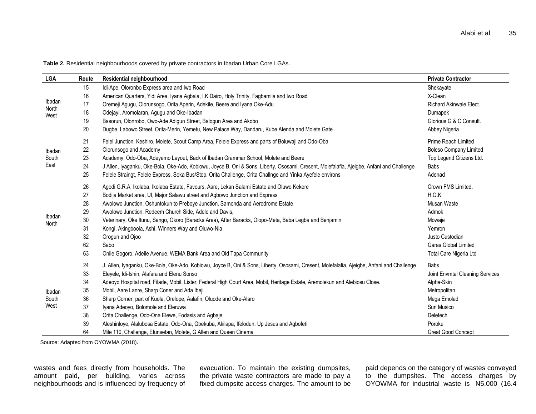**Table 2.** Residential neighbourhoods covered by private contractors in Ibadan Urban Core LGAs.

| LGA                     | Route | Residential neighbourhood                                                                                                                  | <b>Private Contractor</b>       |
|-------------------------|-------|--------------------------------------------------------------------------------------------------------------------------------------------|---------------------------------|
|                         | 15    | Idi-Ape, Oloronbo Express area and Iwo Road                                                                                                | Shekayate                       |
| Ibadan<br>North<br>West | 16    | American Quarters, Yidi Area, Iyana Agbala, I.K Dairo, Holy Trinity, Fagbamila and Iwo Road                                                | X-Clean                         |
|                         | 17    | Oremeji Agugu, Olorunsogo, Orita Aperin, Adekile, Beere and Iyana Oke-Adu                                                                  | <b>Richard Akinwale Elect.</b>  |
|                         | 18    | Odejayi, Aromolaran, Agugu and Oke-Ibadan                                                                                                  | Dumapek                         |
|                         | 19    | Basorun, Olonrobo, Owo-Ade Adigun Street, Balogun Area and Akobo                                                                           | Glorious G & C Consult.         |
|                         | 20    | Dugbe, Labowo Street, Orita-Merin, Yemetu, New Palace Way, Dandaru, Kube Atenda and Molete Gate                                            | Abbey Nigeria                   |
|                         | 21    | Felel Junction, Keshiro, Molete, Scout Camp Area, Felele Express and parts of Boluwaji and Odo-Oba                                         | Prime Reach Limited             |
| Ibadan                  | 22    | Olorunsogo and Academy                                                                                                                     | <b>Boleso Company Limited</b>   |
| South<br>East           | 23    | Academy, Odo-Oba, Adeyemo Layout, Back of Ibadan Grammar School, Molete and Beere                                                          | Top Legend Citizens Ltd.        |
|                         | 24    | J Allen, Iyaganku, Oke-Bola, Oke-Ado, Kobiowu, Joyce B, Oni & Sons, Liberty, Ososami, Cresent, Molefalafia, Ajeigbe, Anfani and Challenge  | Babs                            |
|                         | 25    | Felele Straingt, Felele Express, Soka Bus/Stop, Orita Challenge, Orita Challnge and Yinka Ayefele environs                                 | Adenad                          |
|                         | 26    | Agodi G.R.A, Ikolaba, Ikolaba Estate, Favours, Aare, Lekan Salami Estate and Oluwo Kekere                                                  | Crown FMS Limited.              |
|                         | 27    | Bodija Market area, UI, Major Salawu street and Agbowo Junction and Express                                                                | H.O.K                           |
|                         | 28    | Awolowo Junction, Oshuntokun to Preboye Junction, Samonda and Aerodrome Estate                                                             | Musan Waste                     |
|                         | 29    | Awolowo Junction, Redeem Church Side, Adele and Davis,                                                                                     | Admok                           |
| Ibadan<br>North         | 30    | Veterinary, Oke Itunu, Sango, Okoro (Baracks Area), After Baracks, Olopo-Meta, Baba Legba and Benjamin                                     | Mowaje                          |
|                         | 31    | Kongi, Akingboola, Ashi, Winners Way and Oluwo-Nla                                                                                         | Yemron                          |
|                         | 32    | Orogun and Ojoo                                                                                                                            | Justo Custodian                 |
|                         | 62    | Sabo                                                                                                                                       | <b>Garas Global Limited</b>     |
|                         | 63    | Onile Gogoro, Adeile Avenue, WEMA Bank Area and Old Tapa Community                                                                         | Total Care Nigeria Ltd          |
|                         | 24    | J. Allen, Iyaganku, Oke-Bola, Oke-Ado, Kobiowu, Joyce B, Oni & Sons, Liberty, Ososami, Cresent, Molefalafia, Ajeigbe, Anfani and Challenge | <b>Babs</b>                     |
|                         | 33    | Eleyele, Idi-Ishin, Alafara and Elenu Sonso                                                                                                | Joint Envmtal Cleaning Services |
|                         | 34    | Adeoyo Hospital road, Filade, Mobil, Lister, Federal High Court Area, Mobil, Heritage Estate, Aremolekun and Alebiosu Close.               | Alpha-Skin                      |
| Ibadan                  | 35    | Mobil, Aare Lanre, Sharp Coner and Ada Ibeji                                                                                               | Metropolitan                    |
| South                   | 36    | Sharp Corner, part of Kuola, Orelope, Aalafin, Oluode and Oke-Alaro                                                                        | Mega Emolad                     |
| West                    | 37    | Iyana Adeoyo, Bolomole and Eleruwa                                                                                                         | Sun Musico                      |
|                         | 38    | Orita Challenge, Odo-Ona Elewe, Fodasis and Agbaje                                                                                         | Deletech                        |
|                         | 39    | Aleshinloye, Alalubosa Estate, Odo-Ona, Gbekuba, Akilapa, Ifelodun, Up Jesus and Agbofeti                                                  | Poroku                          |
|                         | 64    | Mile 110, Challenge, Efunsetan, Molete, G Allen and Queen Cinema                                                                           | <b>Great Good Concept</b>       |

Source: Adapted from OYOWMA (2018).

wastes and fees directly from households. The amount paid, per building, varies across neighbourhoods and is influenced by frequency of

evacuation. To maintain the existing dumpsites, the private waste contractors are made to pay a fixed dumpsite access charges. The amount to be

paid depends on the category of wastes conveyed to the dumpsites. The access charges by OYOWMA for industrial waste is N5,000 (16.4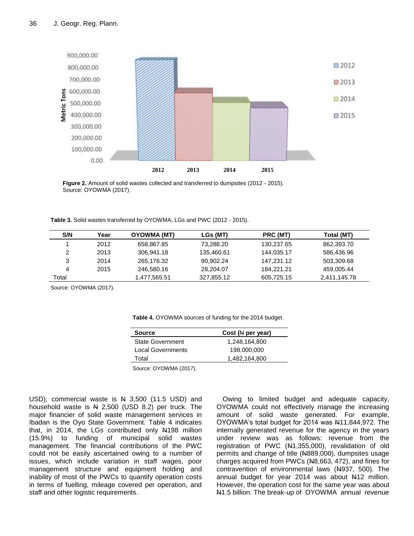

**Figure 2.** Amount of solid wastes collected and transferred to dumpsites (2012 - 2015). Source: OYOWMA (2017).

**Table 3.** Solid wastes transferred by OYOWMA, LGs and PWC (2012 - 2015).

| S/N   | Year | <b>OYOWMA (MT)</b> | LGs (MT)   | PRC (MT)   | Total (MT)   |
|-------|------|--------------------|------------|------------|--------------|
|       | 2012 | 658,867.85         | 73,288.20  | 130,237.65 | 862,393.70   |
| 2     | 2013 | 306.941.18         | 135.460.61 | 144.035.17 | 586.436.96   |
| 3     | 2014 | 265,176.32         | 90.902.24  | 147.231.12 | 503,309.68   |
| 4     | 2015 | 246,580.16         | 28.204.07  | 184.221.21 | 459.005.44   |
| Total |      | 1,477,565.51       | 327,855.12 | 605.725.15 | 2,411,145.78 |

Source: OYOWMA (2017).

**Table 4.** OYOWMA sources of funding for the 2014 budget.

| <b>Source</b>            | Cost (A per year) |
|--------------------------|-------------------|
| State Government         | 1,248,164,800     |
| <b>Local Governments</b> | 198,000,000       |
| Total                    | 1,482,164,800     |
|                          |                   |

Source: OYOWMA (2017).

USD); commercial waste is N 3,500 (11.5 USD) and household waste is  $N$  2,500 (USD 8.2) per truck. The major financier of solid waste management services in Ibadan is the Oyo State Government. Table 4 indicates that, in 2014, the LGs contributed only N198 million (15.9%) to funding of municipal solid wastes management. The financial contributions of the PWC could not be easily ascertained owing to a number of issues, which include variation in staff wages, poor management structure and equipment holding and inability of most of the PWCs to quantify operation costs in terms of fuelling, mileage covered per operation, and staff and other logistic requirements.

Owing to limited budget and adequate capacity, OYOWMA could not effectively manage the increasing amount of solid waste generated. For example, OYOWMA"s total budget for 2014 was N11,844,972. The internally generated revenue for the agency in the years under review was as follows: revenue from the registration of PWC (N1,355,000), revalidation of old permits and change of title (N889,000), dumpsites usage charges acquired from PWCs (N8,663, 472), and fines for contravention of environmental laws (N937, 500). The annual budget for year 2014 was about N12 million. However, the operation cost for the same year was about N1.5 billion. The break-up of OYOWMA annual revenue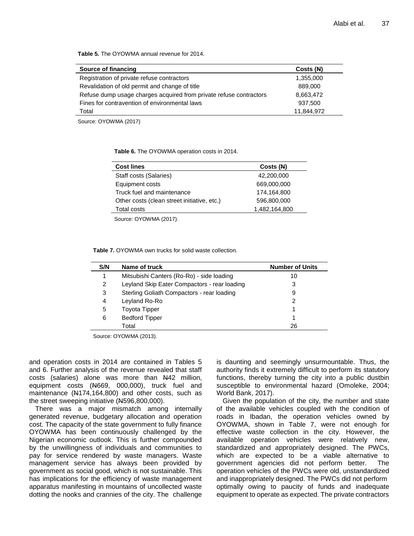**Table 5.** The OYOWMA annual revenue for 2014.

| Source of financing                                                | Costs (N)  |
|--------------------------------------------------------------------|------------|
| Registration of private refuse contractors                         | 1,355,000  |
| Revalidation of old permit and change of title                     | 889,000    |
| Refuse dump usage charges acquired from private refuse contractors | 8,663,472  |
| Fines for contravention of environmental laws                      | 937,500    |
| Total                                                              | 11,844,972 |

Source: OYOWMA (2017)

**Table 6.** The OYOWMA operation costs in 2014.

| <b>Cost lines</b>                           | Costs (N)     |
|---------------------------------------------|---------------|
| Staff costs (Salaries)                      | 42,200,000    |
| Equipment costs                             | 669,000,000   |
| Truck fuel and maintenance                  | 174,164,800   |
| Other costs (clean street initiative, etc.) | 596,800,000   |
| Total costs                                 | 1,482,164,800 |
|                                             |               |

Source: OYOWMA (2017).

**Table 7.** OYOWMA own trucks for solid waste collection.

| S/N           | Name of truck                                | <b>Number of Units</b> |
|---------------|----------------------------------------------|------------------------|
|               | Mitsubishi Canters (Ro-Ro) - side loading    | 10                     |
| $\mathcal{P}$ | Leyland Skip Eater Compactors - rear loading | 3                      |
| 3             | Sterling Goliath Compactors - rear loading   | 9                      |
| 4             | Leyland Ro-Ro                                | 2                      |
| 5             | <b>Toyota Tipper</b>                         |                        |
| 6             | <b>Bedford Tipper</b>                        |                        |
|               | Total                                        | 26                     |

Source: OYOWMA (2013).

and operation costs in 2014 are contained in Tables 5 and 6. Further analysis of the revenue revealed that staff costs (salaries) alone was more than N42 million, equipment costs (N669, 000,000), truck fuel and maintenance (N174,164,800) and other costs, such as the street sweeping initiative (N596,800,000).

There was a major mismatch among internally generated revenue, budgetary allocation and operation cost. The capacity of the state government to fully finance OYOWMA has been continuously challenged by the Nigerian economic outlook. This is further compounded by the unwillingness of individuals and communities to pay for service rendered by waste managers. Waste management service has always been provided by government as social good, which is not sustainable. This has implications for the efficiency of waste management apparatus manifesting in mountains of uncollected waste dotting the nooks and crannies of the city. The challenge is daunting and seemingly unsurmountable. Thus, the authority finds it extremely difficult to perform its statutory functions, thereby turning the city into a public dustbin susceptible to environmental hazard (Omoleke, 2004; World Bank, 2017).

Given the population of the city, the number and state of the available vehicles coupled with the condition of roads in Ibadan, the operation vehicles owned by OYOWMA, shown in Table 7, were not enough for effective waste collection in the city. However, the available operation vehicles were relatively new, standardized and appropriately designed. The PWCs, which are expected to be a viable alternative to government agencies did not perform better. The operation vehicles of the PWCs were old, unstandardized and inappropriately designed. The PWCs did not perform optimally owing to paucity of funds and inadequate equipment to operate as expected. The private contractors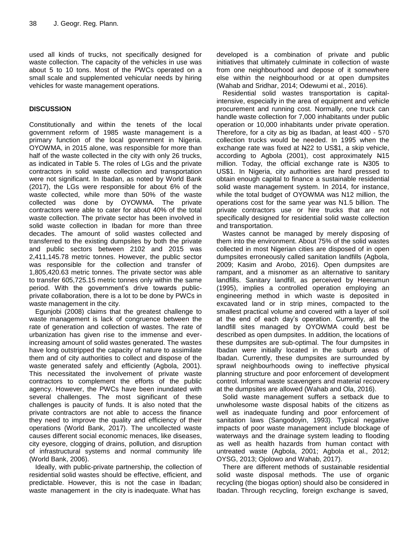used all kinds of trucks, not specifically designed for waste collection. The capacity of the vehicles in use was about 5 to 10 tons. Most of the PWCs operated on a small scale and supplemented vehicular needs by hiring vehicles for waste management operations.

# **DISCUSSION**

Constitutionally and within the tenets of the local government reform of 1985 waste management is a primary function of the local government in Nigeria. OYOWMA, in 2015 alone, was responsible for more than half of the waste collected in the city with only 26 trucks, as indicated in Table 5. The roles of LGs and the private contractors in solid waste collection and transportation were not significant. In Ibadan, as noted by World Bank (2017), the LGs were responsible for about 6% of the waste collected, while more than 50% of the waste collected was done by OYOWMA. The private contractors were able to cater for about 40% of the total waste collection. The private sector has been involved in solid waste collection in Ibadan for more than three decades. The amount of solid wastes collected and transferred to the existing dumpsites by both the private and public sectors between 2102 and 2015 was 2,411,145.78 metric tonnes. However, the public sector was responsible for the collection and transfer of 1,805,420.63 metric tonnes. The private sector was able to transfer 605,725.15 metric tonnes only within the same period. With the government"s drive towards publicprivate collaboration, there is a lot to be done by PWCs in waste management in the city.

Egunjobi (2008) claims that the greatest challenge to waste management is lack of congruence between the rate of generation and collection of wastes. The rate of urbanization has given rise to the immense and everincreasing amount of solid wastes generated. The wastes have long outstripped the capacity of nature to assimilate them and of city authorities to collect and dispose of the waste generated safely and efficiently (Agbola, 2001). This necessitated the involvement of private waste contractors to complement the efforts of the public agency. However, the PWCs have been inundated with several challenges. The most significant of these challenges is paucity of funds. It is also noted that the private contractors are not able to access the finance they need to improve the quality and efficiency of their operations (World Bank, 2017). The uncollected waste causes different social economic menaces, like diseases, city eyesore, clogging of drains, pollution, and disruption of infrastructural systems and normal community life (World Bank, 2006).

Ideally, with public-private partnership, the collection of residential solid wastes should be effective, efficient, and predictable. However, this is not the case in Ibadan; waste management in the city is inadequate. What has

developed is a combination of private and public initiatives that ultimately culminate in collection of waste from one neighbourhood and depose of it somewhere else within the neighbourhood or at open dumpsites (Wahab and Sridhar, 2014; Odewumi et al., 2016).

Residential solid wastes transportation is capitalintensive, especially in the area of equipment and vehicle procurement and running cost. Normally, one truck can handle waste collection for 7,000 inhabitants under public operation or 10,000 inhabitants under private operation. Therefore, for a city as big as Ibadan, at least 400 - 570 collection trucks would be needed. In 1995 when the exchange rate was fixed at N22 to US\$1, a skip vehicle, according to Agbola (2001), cost approximately N15 million. Today, the official exchange rate is N305 to US\$1. In Nigeria, city authorities are hard pressed to obtain enough capital to finance a sustainable residential solid waste management system. In 2014, for instance, while the total budget of OYOWMA was N12 million, the operations cost for the same year was N1.5 billion. The private contractors use or hire trucks that are not specifically designed for residential solid waste collection and transportation.

Wastes cannot be managed by merely disposing of them into the environment. About 75% of the solid wastes collected in most Nigerian cities are disposed of in open dumpsites erroneously called sanitation landfills (Agbola, 2009; Kasim and Arobo, 2016). Open dumpsites are rampant, and a misnomer as an alternative to sanitary landfills. Sanitary landfill, as perceived by Heeramun (1995), implies a controlled operation employing an engineering method in which waste is deposited in excavated land or in strip mines, compacted to the smallest practical volume and covered with a layer of soil at the end of each day"s operation. Currently, all the landfill sites managed by OYOWMA could best be described as open dumpsites. In addition, the locations of these dumpsites are sub-optimal. The four dumpsites in Ibadan were initially located in the suburb areas of Ibadan. Currently, these dumpsites are surrounded by sprawl neighbourhoods owing to ineffective physical planning structure and poor enforcement of development control. Informal waste scavengers and material recovery at the dumpsites are allowed (Wahab and Ola, 2016).

Solid waste management suffers a setback due to unwholesome waste disposal habits of the citizens as well as inadequate funding and poor enforcement of sanitation laws (Sangodoyin, 1993). Typical negative impacts of poor waste management include blockage of waterways and the drainage system leading to flooding as well as health hazards from human contact with untreated waste (Agbola, 2001; Agbola et al., 2012; OYSG, 2013; Ojolowo and Wahab, 2017).

There are different methods of sustainable residential solid waste disposal methods. The use of organic recycling (the biogas option) should also be considered in Ibadan. Through recycling, foreign exchange is saved,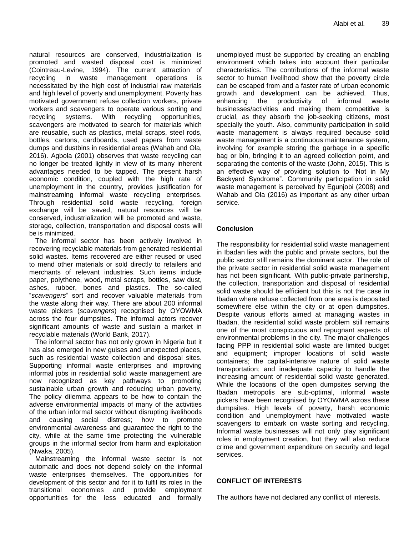natural resources are conserved, industrialization is promoted and wasted disposal cost is minimized (Cointreau-Levine, 1994). The current attraction of recycling in waste management operations is necessitated by the high cost of industrial raw materials and high level of poverty and unemployment. Poverty has motivated government refuse collection workers, private workers and scavengers to operate various sorting and recycling systems. With recycling opportunities, scavengers are motivated to search for materials which are reusable, such as plastics, metal scraps, steel rods, bottles, cartons, cardboards, used papers from waste dumps and dustbins in residential areas (Wahab and Ola, 2016). Agbola (2001) observes that waste recycling can no longer be treated lightly in view of its many inherent advantages needed to be tapped. The present harsh economic condition, coupled with the high rate of unemployment in the country, provides justification for mainstreaming informal waste recycling enterprises. Through residential solid waste recycling, foreign exchange will be saved, natural resources will be conserved, industrialization will be promoted and waste, storage, collection, transportation and disposal costs will be is minimized.

The informal sector has been actively involved in recovering recyclable materials from generated residential solid wastes. Items recovered are either reused or used to mend other materials or sold directly to retailers and merchants of relevant industries. Such items include paper, polythene, wood, metal scraps, bottles, saw dust, ashes, rubber, bones and plastics. The so-called "*scavengers*" sort and recover valuable materials from the waste along their way. There are about 200 informal waste pickers (*scavengers*) recognised by OYOWMA across the four dumpsites. The informal actors recover significant amounts of waste and sustain a market in recyclable materials (World Bank, 2017).

The informal sector has not only grown in Nigeria but it has also emerged in new guises and unexpected places, such as residential waste collection and disposal sites. Supporting informal waste enterprises and improving informal jobs in residential solid waste management are now recognized as key pathways to promoting sustainable urban growth and reducing urban poverty. The policy dilemma appears to be how to contain the adverse environmental impacts of many of the activities of the urban informal sector without disrupting livelihoods and causing social distress; how to promote environmental awareness and guarantee the right to the city, while at the same time protecting the vulnerable groups in the informal sector from harm and exploitation (Nwaka, 2005).

Mainstreaming the informal waste sector is not automatic and does not depend solely on the informal waste enterprises themselves. The opportunities for development of this sector and for it to fulfil its roles in the transitional economies and provide employment opportunities for the less educated and formally unemployed must be supported by creating an enabling environment which takes into account their particular characteristics. The contributions of the informal waste sector to human livelihood show that the poverty circle can be escaped from and a faster rate of urban economic growth and development can be achieved. Thus, enhancing the productivity of informal waste businesses/activities and making them competitive is crucial, as they absorb the job-seeking citizens, most specially the youth. Also, community participation in solid waste management is always required because solid waste management is a continuous maintenance system, involving for example storing the garbage in a specific bag or bin, bringing it to an agreed collection point, and separating the contents of the waste (John, 2015). This is an effective way of providing solution to "Not in My Backyard Syndrome". Community participation in solid waste management is perceived by Egunjobi (2008) and Wahab and Ola (2016) as important as any other urban service.

### **Conclusion**

The responsibility for residential solid waste management in Ibadan lies with the public and private sectors, but the public sector still remains the dominant actor. The role of the private sector in residential solid waste management has not been significant. With public-private partnership, the collection, transportation and disposal of residential solid waste should be efficient but this is not the case in Ibadan where refuse collected from one area is deposited somewhere else within the city or at open dumpsites. Despite various efforts aimed at managing wastes in Ibadan, the residential solid waste problem still remains one of the most conspicuous and repugnant aspects of environmental problems in the city. The major challenges facing PPP in residential solid waste are limited budget and equipment; improper locations of solid waste containers; the capital-intensive nature of solid waste transportation; and inadequate capacity to handle the increasing amount of residential solid waste generated. While the locations of the open dumpsites serving the Ibadan metropolis are sub-optimal, informal waste pickers have been recognised by OYOWMA across these dumpsites. High levels of poverty, harsh economic condition and unemployment have motivated waste scavengers to embark on waste sorting and recycling. Informal waste businesses will not only play significant roles in employment creation, but they will also reduce crime and government expenditure on security and legal services.

### **CONFLICT OF INTERESTS**

The authors have not declared any conflict of interests.